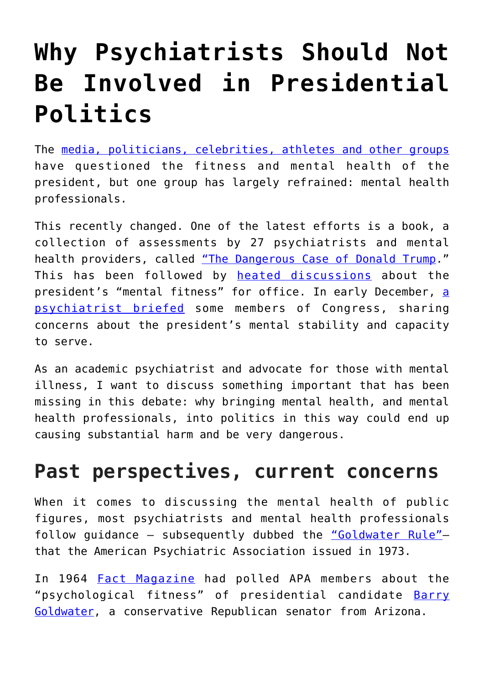# **[Why Psychiatrists Should Not](https://intellectualtakeout.org/2017/12/why-psychiatrists-should-not-be-involved-in-presidential-politics/) [Be Involved in Presidential](https://intellectualtakeout.org/2017/12/why-psychiatrists-should-not-be-involved-in-presidential-politics/) [Politics](https://intellectualtakeout.org/2017/12/why-psychiatrists-should-not-be-involved-in-presidential-politics/)**

The [media, politicians, celebrities, athletes and other groups](https://www.washingtonpost.com/news/the-fix/wp/2017/08/23/questions-about-trumps-mental-health-are-spilling-into-the-open-lets-be-careful/?utm_term=.b60133e39c31) have questioned the fitness and mental health of the president, but one group has largely refrained: mental health professionals.

This recently changed. One of the latest efforts is a book, a collection of assessments by 27 psychiatrists and mental health providers, called ["The Dangerous Case of Donald Trump](https://www.psychologytoday.com/blog/the-time-cure/201709/the-dangerous-case-donald-trump)." This has been followed by [heated discussions](https://www.nytimes.com/2017/11/30/opinion/psychiatrists-trump.html) about the president's "ment[a](http://www.cnn.com/2018/01/04/politics/psychiatrist-congress-meeting-trump/index.html)l fitness" for office. In early December, a [psychiatrist briefed](http://www.cnn.com/2018/01/04/politics/psychiatrist-congress-meeting-trump/index.html) some members of Congress, sharing concerns about the president's mental stability and capacity to serve.

As an academic psychiatrist and advocate for those with mental illness, I want to discuss something important that has been missing in this debate: why bringing mental health, and mental health professionals, into politics in this way could end up causing substantial harm and be very dangerous.

### **Past perspectives, current concerns**

When it comes to discussing the mental health of public figures, most psychiatrists and mental health professionals follow guidance - subsequently dubbed the "Goldwater Rule"that the American Psychiatric Association issued in 1973.

In 1964 [Fact Magazine](https://www.vox.com/science-and-health/2017/5/25/15690396/fact-goldwater-rule-article-psychiatrist) had polled APA members about the "psychological fitness" of presidential candidate [Barry](https://www.biography.com/people/barry-goldwater-9314846) [Goldwater,](https://www.biography.com/people/barry-goldwater-9314846) a conservative Republican senator from Arizona.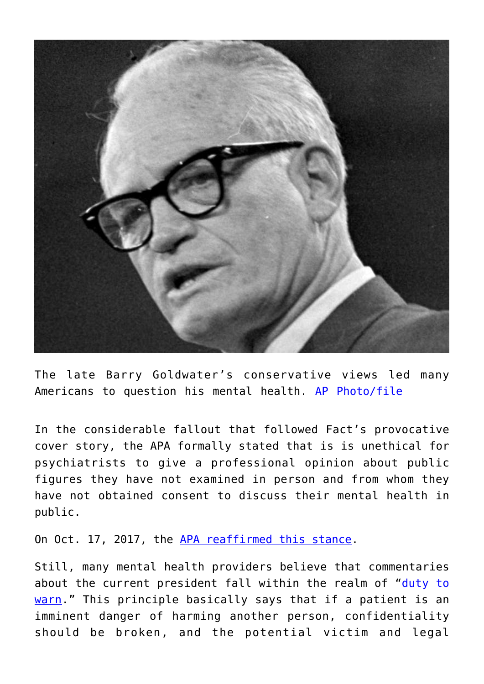

The late Barry Goldwater's conservative views led many Americans to question his mental health. [AP Photo/file](http://www.apimages.com/metadata/Index/Republicans-War-Glance/c7224d5f1d144fbc887f1be7a42482b5/15/0)

In the considerable fallout that followed Fact's provocative cover story, the APA formally stated that is is unethical for psychiatrists to give a professional opinion about public figures they have not examined in person and from whom they have not obtained consent to discuss their mental health in public.

On Oct. 17, 2017, the [APA reaffirmed this stance.](https://www.psychiatry.org/newsroom/news-releases/apa-goldwater-rule-remains-a-guiding-principle-for-physician-members)

Still, many mental health providers believe that commentaries about the current president fall within the realm of ["duty to](http://nymag.com/daily/intelligencer/2017/04/yale-psychiatrists-cite-duty-to-warn-about-unfit-president.html) [warn](http://nymag.com/daily/intelligencer/2017/04/yale-psychiatrists-cite-duty-to-warn-about-unfit-president.html)." This principle basically says that if a patient is an imminent danger of harming another person, confidentiality should be broken, and the potential victim and legal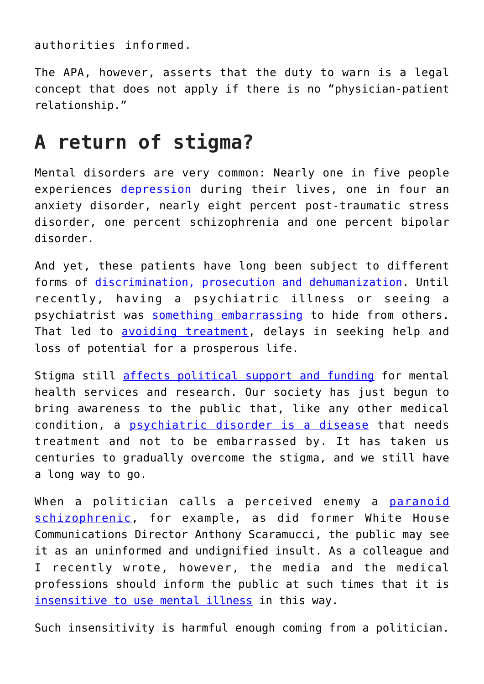authorities informed.

The APA, however, asserts that the duty to warn is a legal concept that does not apply if there is no "physician-patient relationship."

### **A return of stigma?**

Mental disorders are very common: Nearly one in five people experiences [depression](https://www.nimh.nih.gov/health/statistics/prevalence/index.shtml) during their lives, one in four an anxiety disorder, nearly eight percent post-traumatic stress disorder, one percent schizophrenia and one percent bipolar disorder.

And yet, these patients have long been subject to different forms of [discrimination, prosecution and dehumanization](https://www.nami.org/Blogs/NAMI-Blog/October-2017/9-Ways-to-Fight-Mental-Health-Stigma). Until recently, having a psychiatric illness or seeing a psychiatrist was [something embarrassing](https://www.ncbi.nlm.nih.gov/pmc/articles/PMC4472553/) to hide from others. That led to [avoiding treatment,](https://www.ncbi.nlm.nih.gov/pmc/articles/PMC4472553/) delays in seeking help and loss of potential for a prosperous life.

Stigma still [affects political support and funding](https://www.ncbi.nlm.nih.gov/pmc/articles/PMC3698814/) for mental health services and research. Our society has just begun to bring awareness to the public that, like any other medical condition, a [psychiatric disorder is a disease](https://www.ncbi.nlm.nih.gov/pmc/articles/PMC4409431/) that needs treatment and not to be embarrassed by. It has taken us centuries to gradually overcome the stigma, and we still have a long way to go.

When a politician calls a perceived enemy a [paranoid](http://thehill.com/homenews/administration/344215-scaramucci-priebus-is-a-paranoid-schizophrenic-will-be-asked-to) [schizophrenic,](http://thehill.com/homenews/administration/344215-scaramucci-priebus-is-a-paranoid-schizophrenic-will-be-asked-to) for example, as did former White House Communications Director Anthony Scaramucci, the public may see it as an uninformed and undignified insult. As a colleague and I recently wrote, however, the media and the medical professions should inform the public at such times that it is [insensitive to use mental illness](http://blogs.bmj.com/bmj/2017/10/06/doctors-need-to-speak-up-against-the-use-of-mental-illness-as-an-insult/) in this way.

Such insensitivity is harmful enough coming from a politician.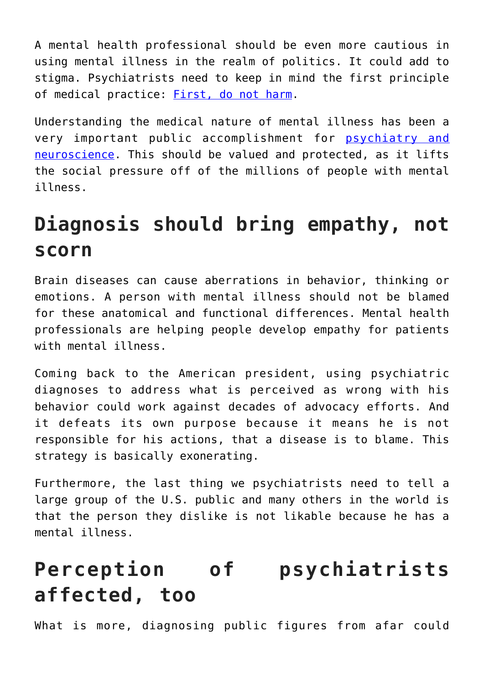A mental health professional should be even more cautious in using mental illness in the realm of politics. It could add to stigma. Psychiatrists need to keep in mind the first principle of medical practice: [First, do not harm](https://www.health.harvard.edu/blog/first-do-no-harm-201510138421).

Understanding the medical nature of mental illness has been a very important public accomplishment for [psychiatry and](https://www.ncbi.nlm.nih.gov/pmc/articles/PMC4409431/) [neuroscience.](https://www.ncbi.nlm.nih.gov/pmc/articles/PMC4409431/) This should be valued and protected, as it lifts the social pressure off of the millions of people with mental illness.

## **Diagnosis should bring empathy, not scorn**

Brain diseases can cause aberrations in behavior, thinking or emotions. A person with mental illness should not be blamed for these anatomical and functional differences. Mental health professionals are helping people develop empathy for patients with mental illness.

Coming back to the American president, using psychiatric diagnoses to address what is perceived as wrong with his behavior could work against decades of advocacy efforts. And it defeats its own purpose because it means he is not responsible for his actions, that a disease is to blame. This strategy is basically exonerating.

Furthermore, the last thing we psychiatrists need to tell a large group of the U.S. public and many others in the world is that the person they dislike is not likable because he has a mental illness.

## **Perception of psychiatrists affected, too**

What is more, diagnosing public figures from afar could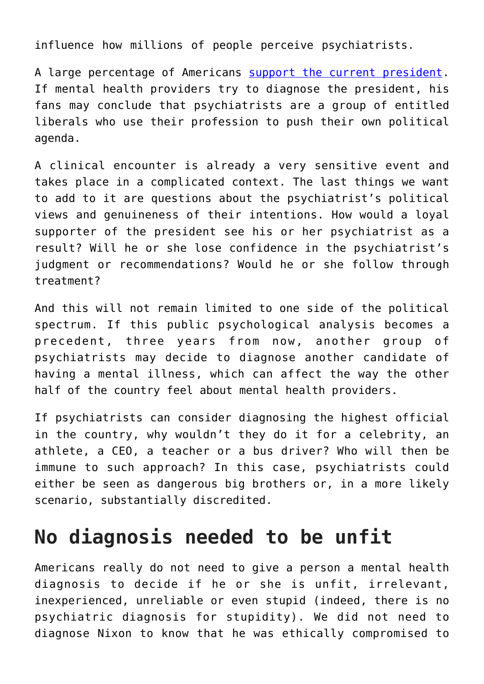influence how millions of people perceive psychiatrists.

A large percentage of Americans [support the current president.](http://news.gallup.com/poll/201617/gallup-daily-trump-job-approval.aspx) If mental health providers try to diagnose the president, his fans may conclude that psychiatrists are a group of entitled liberals who use their profession to push their own political agenda.

A clinical encounter is already a very sensitive event and takes place in a complicated context. The last things we want to add to it are questions about the psychiatrist's political views and genuineness of their intentions. How would a loyal supporter of the president see his or her psychiatrist as a result? Will he or she lose confidence in the psychiatrist's judgment or recommendations? Would he or she follow through treatment?

And this will not remain limited to one side of the political spectrum. If this public psychological analysis becomes a precedent, three years from now, another group of psychiatrists may decide to diagnose another candidate of having a mental illness, which can affect the way the other half of the country feel about mental health providers.

If psychiatrists can consider diagnosing the highest official in the country, why wouldn't they do it for a celebrity, an athlete, a CEO, a teacher or a bus driver? Who will then be immune to such approach? In this case, psychiatrists could either be seen as dangerous big brothers or, in a more likely scenario, substantially discredited.

#### **No diagnosis needed to be unfit**

Americans really do not need to give a person a mental health diagnosis to decide if he or she is unfit, irrelevant, inexperienced, unreliable or even stupid (indeed, there is no psychiatric diagnosis for stupidity). We did not need to diagnose Nixon to know that he was ethically compromised to